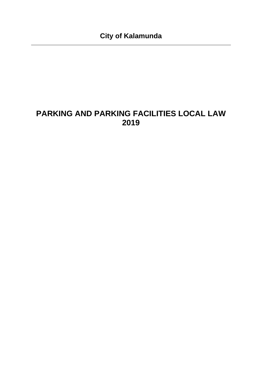## **PARKING AND PARKING FACILITIES LOCAL LAW 2019**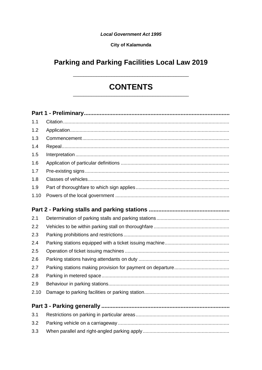#### **Local Government Act 1995**

#### **City of Kalamunda**

## **Parking and Parking Facilities Local Law 2019**

# **CONTENTS**

| 1.1  |  |
|------|--|
| 1.2  |  |
| 1.3  |  |
| 1.4  |  |
| 1.5  |  |
| 1.6  |  |
| 1.7  |  |
| 1.8  |  |
| 1.9  |  |
| 1.10 |  |
|      |  |
|      |  |
| 2.1  |  |
| 2.2  |  |
| 2.3  |  |
| 2.4  |  |
| 2.5  |  |
| 2.6  |  |
| 2.7  |  |
| 2.8  |  |
| 2.9  |  |
| 2.10 |  |
|      |  |
| 3.1  |  |
| 3.2  |  |
| 3.3  |  |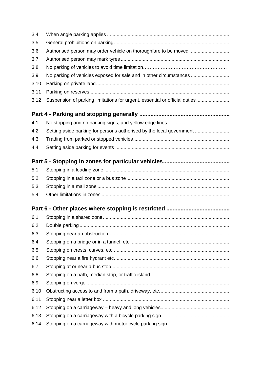| 3.4  |                                                                            |
|------|----------------------------------------------------------------------------|
| 3.5  |                                                                            |
| 3.6  |                                                                            |
| 3.7  |                                                                            |
| 3.8  |                                                                            |
| 3.9  | No parking of vehicles exposed for sale and in other circumstances         |
| 3.10 |                                                                            |
| 3.11 |                                                                            |
| 3.12 | Suspension of parking limitations for urgent, essential or official duties |
|      |                                                                            |
| 4.1  |                                                                            |
| 4.2  | Setting aside parking for persons authorised by the local government       |
| 4.3  |                                                                            |
| 4.4  |                                                                            |
|      |                                                                            |
| 5.1  |                                                                            |
| 5.2  |                                                                            |
| 5.3  |                                                                            |
| 5.4  |                                                                            |
|      |                                                                            |
| 6.1  |                                                                            |
| 6.2  |                                                                            |
| 6.3  |                                                                            |
| 6.4  |                                                                            |
| 6.5  |                                                                            |
| 6.6  |                                                                            |
| 6.7  |                                                                            |
| 6.8  |                                                                            |
| 6.9  |                                                                            |
| 6.10 |                                                                            |
| 6.11 |                                                                            |
| 6.12 |                                                                            |
| 6.13 |                                                                            |
| 6.14 |                                                                            |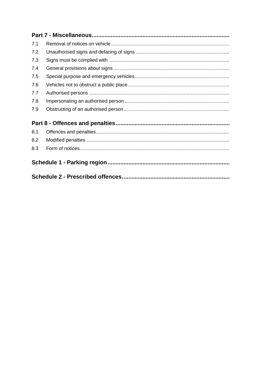| 7.1 |  |  |
|-----|--|--|
| 7.2 |  |  |
| 7.3 |  |  |
| 7.4 |  |  |
| 7.5 |  |  |
| 7.6 |  |  |
| 7.7 |  |  |
| 7.8 |  |  |
| 7.9 |  |  |
|     |  |  |
| 8.1 |  |  |
| 8.2 |  |  |
| 8.3 |  |  |
|     |  |  |
|     |  |  |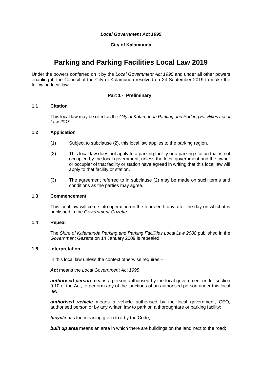#### *Local Government Act 1995*

#### **City of Kalamunda**

## **Parking and Parking Facilities Local Law 2019**

Under the powers conferred on it by the *Local Government Act 1995* and under all other powers enabling it, the Council of the City of Kalamunda resolved on 24 September 2019 to make the following local law.

#### **Part 1 - Preliminary**

#### <span id="page-4-1"></span><span id="page-4-0"></span>**1.1 Citation**

This local law may be cited as the *City of Kalamunda Parking and Parking Facilities Local Law 2019*.

#### <span id="page-4-2"></span>**1.2 Application**

- (1) Subject to subclause (2), this local law applies to the parking region.
- (2) This local law does not apply to a parking facility or a parking station that is not occupied by the local government, unless the local government and the owner or occupier of that facility or station have agreed in writing that this local law will apply to that facility or station.
- (3) The agreement referred to in subclause (2) may be made on such terms and conditions as the parties may agree.

#### <span id="page-4-3"></span>**1.3 Commencement**

This local law will come into operation on the fourteenth day after the day on which it is published in the *Government Gazette*.

#### <span id="page-4-4"></span>**1.4 Repeal**

The *Shire of Kalamunda Parking and Parking Facilities Local Law 2008* published in the *Government Gazette* on 14 January 2009 is repealed.

#### <span id="page-4-5"></span>**1.5 Interpretation**

In this local law unless the context otherwise requires –

*Act* means the *Local Government Act 1995*;

*authorised person* means a person authorised by the local government under section 9.10 of the Act, to perform any of the functions of an authorised person under this local law;

*authorised vehicle* means a vehicle authorised by the local government, CEO, authorised person or by any written law to park on a thoroughfare or parking facility;

**bicycle** has the meaning given to it by the Code;

**built up area** means an area in which there are buildings on the land next to the road;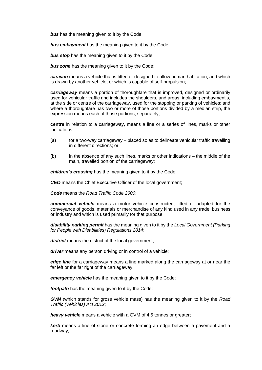*bus* has the meaning given to it by the Code;

*bus embayment* has the meaning given to it by the Code;

**bus stop** has the meaning given to it by the Code;

**bus zone** has the meaning given to it by the Code:

*caravan* means a vehicle that is fitted or designed to allow human habitation, and which is drawn by another vehicle, or which is capable of self-propulsion;

*carriageway* means a portion of thoroughfare that is improved, designed or ordinarily used for vehicular traffic and includes the shoulders, and areas, including embayment's, at the side or centre of the carriageway, used for the stopping or parking of vehicles; and where a thoroughfare has two or more of those portions divided by a median strip, the expression means each of those portions, separately;

**centre** in relation to a carriageway, means a line or a series of lines, marks or other indications -

- $(a)$  for a two-way carriageway placed so as to delineate vehicular traffic travelling in different directions; or
- (b) in the absence of any such lines, marks or other indications the middle of the main, travelled portion of the carriageway;

*children's crossing* has the meaning given to it by the Code;

**CEO** means the Chief Executive Officer of the local government;

*Code* means the *Road Traffic Code 2000*;

*commercial vehicle* means a motor vehicle constructed, fitted or adapted for the conveyance of goods, materials or merchandise of any kind used in any trade, business or industry and which is used primarily for that purpose;

*disability parking permit* has the meaning given to it by the *Local Government (Parking for People with Disabilities) Regulations 2014*;

*district* means the district of the local government;

*driver* means any person driving or in control of a vehicle;

*edge line* for a carriageway means a line marked along the carriageway at or near the far left or the far right of the carriageway:

*emergency vehicle* has the meaning given to it by the Code:

*footpath* has the meaning given to it by the Code:

*GVM* (which stands for gross vehicle mass) has the meaning given to it by the *Road Traffic (Vehicles) Act 2012*;

*heavy vehicle* means a vehicle with a GVM of 4.5 tonnes or greater;

*kerb* means a line of stone or concrete forming an edge between a pavement and a roadway;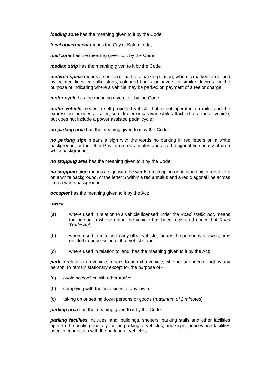*loading zone* has the meaning given to it by the Code;

*local government* means the City of Kalamunda;

*mail zone* has the meaning given to it by the Code;

*median strip* has the meaning given to it by the Code:

*metered space* means a section or part of a parking station, which is marked or defined by painted lines, metallic studs, coloured bricks or pavers or similar devices for the purpose of indicating where a vehicle may be parked on payment of a fee or charge;

*motor cycle* has the meaning given to it by the Code;

*motor vehicle* means a self-propelled vehicle that is not operated on rails; and the expression includes a trailer, semi-trailer or caravan while attached to a motor vehicle, but does not include a power assisted pedal cycle;

*no parking area* has the meaning given to it by the Code;

*no parking sign* means a sign with the words no parking in red letters on a white background, or the letter P within a red annulus and a red diagonal line across it on a white background;

*no stopping area* has the meaning given to it by the Code;

*no stopping sign* means a sign with the words no stopping or no standing in red letters on a white background, or the letter S within a red annulus and a red diagonal line across it on a white background;

*occupier* has the meaning given to it by the Act;

#### *owner* -

- (a) where used in relation to a vehicle licensed under the *Road Traffic Act*, means the person in whose name the vehicle has been registered under that *Road Traffic Act*;
- (b) where used in relation to any other vehicle, means the person who owns, or is entitled to possession of that vehicle; and
- (c) where used in relation to land, has the meaning given to it by the Act;

**park** in relation to a vehicle, means to permit a vehicle, whether attended or not by any person, to remain stationary except for the purpose of -

- (a) avoiding conflict with other traffic;
- (b) complying with the provisions of any law; or
- (c) taking up or setting down persons or goods (*maximum of 2 minutes*);

**parking area** has the meaning given to it by the Code;

*parking facilities* includes land, buildings, shelters, parking stalls and other facilities open to the public generally for the parking of vehicles, and signs, notices and facilities used in connection with the parking of vehicles;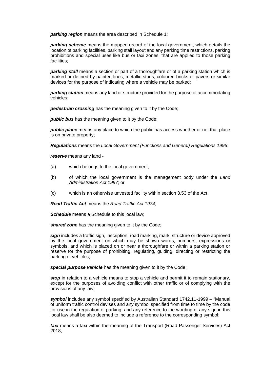*parking region* means the area described in Schedule 1;

*parking scheme* means the mapped record of the local government, which details the location of parking facilities, parking stall layout and any parking time restrictions, parking prohibitions and special uses like bus or taxi zones, that are applied to those parking facilities;

*parking stall* means a section or part of a thoroughfare or of a parking station which is marked or defined by painted lines, metallic studs, coloured bricks or pavers or similar devices for the purpose of indicating where a vehicle may be parked;

*parking station* means any land or structure provided for the purpose of accommodating vehicles;

**pedestrian crossing** has the meaning given to it by the Code;

**public bus** has the meaning given to it by the Code;

*public place* means any place to which the public has access whether or not that place is on private property;

*Regulations* means the *Local Government (Functions and General) Regulations 1996*;

*reserve* means any land -

- (a) which belongs to the local government;
- (b) of which the local government is the management body under the *Land Administration Act 1997*; or
- (c) which is an otherwise unvested facility within section 3.53 of the Act;

*Road Traffic Act* means the *Road Traffic Act 1974*;

**Schedule** means a Schedule to this local law:

**shared zone** has the meaning given to it by the Code;

*sign* includes a traffic sign, inscription, road marking, mark, structure or device approved by the local government on which may be shown words, numbers, expressions or symbols, and which is placed on or near a thoroughfare or within a parking station or reserve for the purpose of prohibiting, regulating, guiding, directing or restricting the parking of vehicles;

**special purpose vehicle** has the meaning given to it by the Code:

**stop** in relation to a vehicle means to stop a vehicle and permit it to remain stationary. except for the purposes of avoiding conflict with other traffic or of complying with the provisions of any law;

*symbol* includes any symbol specified by Australian Standard 1742.11-1999 – "Manual of uniform traffic control devises and any symbol specified from time to time by the code for use in the regulation of parking, and any reference to the wording of any sign in this local law shall be also deemed to include a reference to the corresponding symbol;

*taxi* means a taxi within the meaning of the Transport (Road Passenger Services) Act 2018;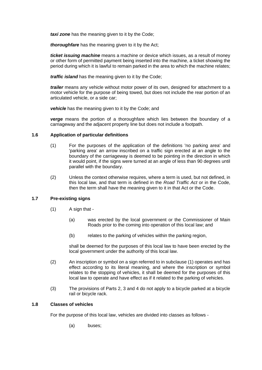*taxi zone* has the meaning given to it by the Code;

*thoroughfare* has the meaning given to it by the Act;

*ticket issuing machine* means a machine or device which issues, as a result of money or other form of permitted payment being inserted into the machine, a ticket showing the period during which it is lawful to remain parked in the area to which the machine relates;

*traffic island* has the meaning given to it by the Code;

*trailer* means any vehicle without motor power of its own, designed for attachment to a motor vehicle for the purpose of being towed, but does not include the rear portion of an articulated vehicle, or a side car;

*vehicle* has the meaning given to it by the Code; and

*verge* means the portion of a thoroughfare which lies between the boundary of a carriageway and the adjacent property line but does not include a footpath.

#### <span id="page-8-0"></span>**1.6 Application of particular definitions**

- (1) For the purposes of the application of the definitions 'no parking area' and 'parking area' an arrow inscribed on a traffic sign erected at an angle to the boundary of the carriageway is deemed to be pointing in the direction in which it would point, if the signs were turned at an angle of less than 90 degrees until parallel with the boundary.
- (2) Unless the context otherwise requires, where a term is used, but not defined, in this local law, and that term is defined in the *Road Traffic Act* or in the Code, then the term shall have the meaning given to it in that Act or the Code.

#### <span id="page-8-1"></span>**1.7 Pre-existing signs**

- (1) A sign that
	- (a) was erected by the local government or the Commissioner of Main Roads prior to the coming into operation of this local law; and
	- (b) relates to the parking of vehicles within the parking region,

shall be deemed for the purposes of this local law to have been erected by the local government under the authority of this local law.

- (2) An inscription or symbol on a sign referred to in subclause (1) operates and has effect according to its literal meaning, and where the inscription or symbol relates to the stopping of vehicles, it shall be deemed for the purposes of this local law to operate and have effect as if it related to the parking of vehicles.
- (3) The provisions of Parts 2, 3 and 4 do not apply to a bicycle parked at a bicycle rail or bicycle rack.

#### <span id="page-8-2"></span>**1.8 Classes of vehicles**

For the purpose of this local law, vehicles are divided into classes as follows -

(a) buses;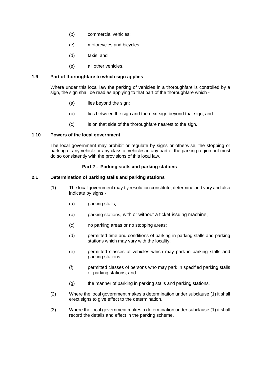- (b) commercial vehicles;
- (c) motorcycles and bicycles;
- (d) taxis; and
- (e) all other vehicles.

#### <span id="page-9-0"></span>**1.9 Part of thoroughfare to which sign applies**

Where under this local law the parking of vehicles in a thoroughfare is controlled by a sign, the sign shall be read as applying to that part of the thoroughfare which -

- (a) lies beyond the sign;
- (b) lies between the sign and the next sign beyond that sign; and
- (c) is on that side of the thoroughfare nearest to the sign.

#### <span id="page-9-1"></span>**1.10 Powers of the local government**

The local government may prohibit or regulate by signs or otherwise, the stopping or parking of any vehicle or any class of vehicles in any part of the parking region but must do so consistently with the provisions of this local law.

#### **Part 2 - Parking stalls and parking stations**

#### <span id="page-9-3"></span><span id="page-9-2"></span>**2.1 Determination of parking stalls and parking stations**

- (1) The local government may by resolution constitute, determine and vary and also indicate by signs -
	- (a) parking stalls;
	- (b) parking stations, with or without a ticket issuing machine;
	- (c) no parking areas or no stopping areas;
	- (d) permitted time and conditions of parking in parking stalls and parking stations which may vary with the locality;
	- (e) permitted classes of vehicles which may park in parking stalls and parking stations;
	- (f) permitted classes of persons who may park in specified parking stalls or parking stations; and
	- (g) the manner of parking in parking stalls and parking stations.
- (2) Where the local government makes a determination under subclause (1) it shall erect signs to give effect to the determination.
- (3) Where the local government makes a determination under subclause (1) it shall record the details and effect in the parking scheme.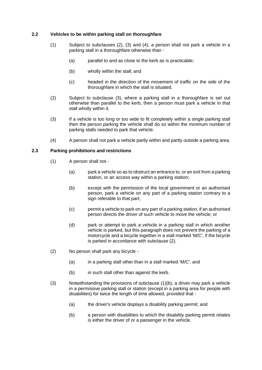#### <span id="page-10-0"></span>**2.2 Vehicles to be within parking stall on thoroughfare**

- (1) Subject to subclauses (2), (3) and (4), a person shall not park a vehicle in a parking stall in a thoroughfare otherwise than -
	- (a) parallel to and as close to the kerb as is practicable;
	- (b) wholly within the stall; and
	- (c) headed in the direction of the movement of traffic on the side of the thoroughfare in which the stall is situated.
- (2) Subject to subclause (3), where a parking stall in a thoroughfare is set out otherwise than parallel to the kerb, then a person must park a vehicle in that stall wholly within it.
- (3) If a vehicle is too long or too wide to fit completely within a single parking stall then the person parking the vehicle shall do so within the minimum number of parking stalls needed to park that vehicle.
- (4) A person shall not park a vehicle partly within and partly outside a parking area.

#### <span id="page-10-1"></span>**2.3 Parking prohibitions and restrictions**

- (1) A person shall not
	- (a) park a vehicle so as to obstruct an entrance to, or an exit from a parking station, or an access way within a parking station;
	- (b) except with the permission of the local government or an authorised person, park a vehicle on any part of a parking station contrary to a sign referable to that part:
	- (c) permit a vehicle to park on any part of a parking station, if an authorised person directs the driver of such vehicle to move the vehicle; or
	- (d) park or attempt to park a vehicle in a parking stall in which another vehicle is parked, but this paragraph does not prevent the parking of a motorcycle and a bicycle together in a stall marked 'M/C', if the bicycle is parked in accordance with subclause (2).
- (2) No person shall park any bicycle
	- (a) in a parking stall other than in a stall marked 'M/C'; and
	- (b) in such stall other than against the kerb.
- (3) Notwithstanding the provisions of subclause (1)(b), a driver may park a vehicle in a permissive parking stall or station (except in a parking area for people with disabilities) for twice the length of time allowed, provided that -
	- (a) the driver's vehicle displays a disability parking permit; and
	- (b) a person with disabilities to which the disability parking permit relates is either the driver of or a passenger in the vehicle.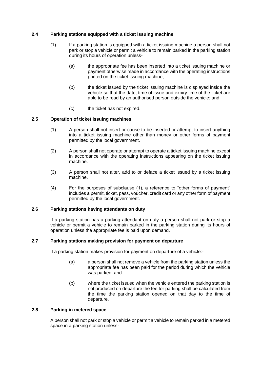#### <span id="page-11-0"></span>**2.4 Parking stations equipped with a ticket issuing machine**

- (1) If a parking station is equipped with a ticket issuing machine a person shall not park or stop a vehicle or permit a vehicle to remain parked in the parking station during its hours of operation unless-
	- (a) the appropriate fee has been inserted into a ticket issuing machine or payment otherwise made in accordance with the operating instructions printed on the ticket issuing machine;
	- (b) the ticket issued by the ticket issuing machine is displayed inside the vehicle so that the date, time of issue and expiry time of the ticket are able to be read by an authorised person outside the vehicle; and
	- (c) the ticket has not expired.

#### <span id="page-11-1"></span>**2.5 Operation of ticket issuing machines**

- (1) A person shall not insert or cause to be inserted or attempt to insert anything into a ticket issuing machine other than money or other forms of payment permitted by the local government.
- (2) A person shall not operate or attempt to operate a ticket issuing machine except in accordance with the operating instructions appearing on the ticket issuing machine.
- (3) A person shall not alter, add to or deface a ticket issued by a ticket issuing machine.
- (4) For the purposes of subclause (1), a reference to "other forms of payment" includes a permit, ticket, pass, voucher, credit card or any other form of payment permitted by the local government.

#### <span id="page-11-2"></span>**2.6 Parking stations having attendants on duty**

If a parking station has a parking attendant on duty a person shall not park or stop a vehicle or permit a vehicle to remain parked in the parking station during its hours of operation unless the appropriate fee is paid upon demand.

#### <span id="page-11-3"></span>**2.7 Parking stations making provision for payment on departure**

If a parking station makes provision for payment on departure of a vehicle:-

- (a) a person shall not remove a vehicle from the parking station unless the appropriate fee has been paid for the period during which the vehicle was parked; and
- (b) where the ticket issued when the vehicle entered the parking station is not produced on departure the fee for parking shall be calculated from the time the parking station opened on that day to the time of departure.

#### <span id="page-11-4"></span>**2.8 Parking in metered space**

A person shall not park or stop a vehicle or permit a vehicle to remain parked in a metered space in a parking station unless-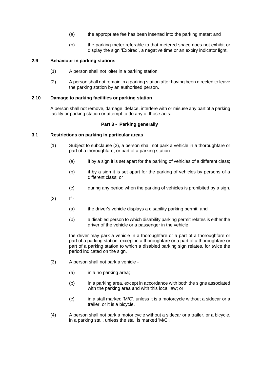- (a) the appropriate fee has been inserted into the parking meter; and
- (b) the parking meter referable to that metered space does not exhibit or display the sign 'Expired', a negative time or an expiry indicator light.

#### <span id="page-12-0"></span>**2.9 Behaviour in parking stations**

- (1) A person shall not loiter in a parking station.
- (2) A person shall not remain in a parking station after having been directed to leave the parking station by an authorised person.

#### <span id="page-12-1"></span>**2.10 Damage to parking facilities or parking station**

A person shall not remove, damage, deface, interfere with or misuse any part of a parking facility or parking station or attempt to do any of those acts.

#### **Part 3 - Parking generally**

#### <span id="page-12-3"></span><span id="page-12-2"></span>**3.1 Restrictions on parking in particular areas**

- (1) Subject to subclause (2), a person shall not park a vehicle in a thoroughfare or part of a thoroughfare, or part of a parking station-
	- (a) if by a sign it is set apart for the parking of vehicles of a different class;
	- (b) if by a sign it is set apart for the parking of vehicles by persons of a different class; or
	- (c) during any period when the parking of vehicles is prohibited by a sign.
- $(2)$  If -
	- (a) the driver's vehicle displays a disability parking permit; and
	- (b) a disabled person to which disability parking permit relates is either the driver of the vehicle or a passenger in the vehicle,

the driver may park a vehicle in a thoroughfare or a part of a thoroughfare or part of a parking station, except in a thoroughfare or a part of a thoroughfare or part of a parking station to which a disabled parking sign relates, for twice the period indicated on the sign.

- (3) A person shall not park a vehicle
	- (a) in a no parking area;
	- (b) in a parking area, except in accordance with both the signs associated with the parking area and with this local law; or
	- (c) in a stall marked 'M/C', unless it is a motorcycle without a sidecar or a trailer, or it is a bicycle.
- (4) A person shall not park a motor cycle without a sidecar or a trailer, or a bicycle, in a parking stall, unless the stall is marked 'M/C'.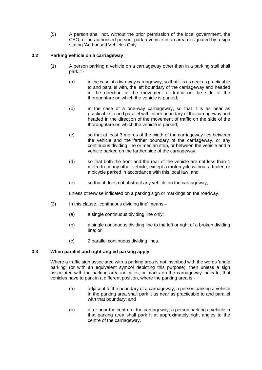(5) A person shall not, without the prior permission of the local government, the CEO, or an authorised person, park a vehicle in an area designated by a sign stating 'Authorised Vehicles Only'.

#### <span id="page-13-0"></span>**3.2 Parking vehicle on a carriageway**

- (1) A person parking a vehicle on a carriageway other than in a parking stall shall park it -
	- (a) in the case of a two-way carriageway, so that it is as near as practicable to and parallel with, the left boundary of the carriageway and headed in the direction of the movement of traffic on the side of the thoroughfare on which the vehicle is parked;
	- (b) in the case of a one-way carriageway, so that it is as near as practicable to and parallel with either boundary of the carriageway and headed in the direction of the movement of traffic on the side of the thoroughfare on which the vehicle is parked;
	- (c) so that at least 3 metres of the width of the carriageway lies between the vehicle and the farther boundary of the carriageway, or any continuous dividing line or median strip, or between the vehicle and a vehicle parked on the farther side of the carriageway;
	- (d) so that both the front and the rear of the vehicle are not less than 1 metre from any other vehicle, except a motorcycle without a trailer, or a bicycle parked in accordance with this local law; and
	- (e) so that it does not obstruct any vehicle on the carriageway,

unless otherwise indicated on a parking sign or markings on the roadway.

- (2) In this clause, 'continuous dividing line' means
	- (a) a single continuous dividing line only;
	- (b) a single continuous dividing line to the left or right of a broken dividing line; or
	- (c) 2 parallel continuous dividing lines.

#### <span id="page-13-1"></span>**3.3 When parallel and right-angled parking apply**

Where a traffic sign associated with a parking area is not inscribed with the words 'angle parking' (or with an equivalent symbol depicting this purpose), then unless a sign associated with the parking area indicates, or marks on the carriageway indicate, that vehicles have to park in a different position, where the parking area is -

- (a) adjacent to the boundary of a carriageway, a person parking a vehicle in the parking area shall park it as near as practicable to and parallel with that boundary; and
- (b) at or near the centre of the carriageway, a person parking a vehicle in that parking area shall park it at approximately right angles to the centre of the carriageway.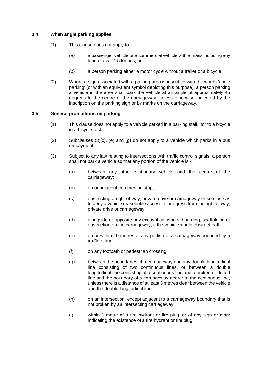#### <span id="page-14-0"></span>**3.4 When angle parking applies**

- (1) This clause does not apply to
	- (a) a passenger vehicle or a commercial vehicle with a mass including any load of over 4.5 tonnes; or
	- (b) a person parking either a motor cycle without a trailer or a bicycle.
- (2) Where a sign associated with a parking area is inscribed with the words 'angle parking' (or with an equivalent symbol depicting this purpose), a person parking a vehicle in the area shall park the vehicle at an angle of approximately 45 degrees to the centre of the carriageway, unless otherwise indicated by the inscription on the parking sign or by marks on the carriageway.

#### <span id="page-14-1"></span>**3.5 General prohibitions on parking**

- (1) This clause does not apply to a vehicle parked in a parking stall, nor to a bicycle in a bicycle rack.
- $(2)$  Subclauses  $(3)(c)$ ,  $(e)$  and  $(g)$  do not apply to a vehicle which parks in a bus embayment.
- (3) Subject to any law relating to intersections with traffic control signals, a person shall not park a vehicle so that any portion of the vehicle is -
	- (a) between any other stationary vehicle and the centre of the carriageway;
	- (b) on or adjacent to a median strip;
	- (c) obstructing a right of way, private drive or carriageway or so close as to deny a vehicle reasonable access to or egress from the right of way, private drive or carriageway;
	- (d) alongside or opposite any excavation, works, hoarding, scaffolding or obstruction on the carriageway, if the vehicle would obstruct traffic;
	- (e) on or within 10 metres of any portion of a carriageway bounded by a traffic island;
	- (f) on any footpath or pedestrian crossing;
	- (g) between the boundaries of a carriageway and any double longitudinal line consisting of two continuous lines, or between a double longitudinal line consisting of a continuous line and a broken or dotted line and the boundary of a carriageway nearer to the continuous line, unless there is a distance of at least 3 metres clear between the vehicle and the double longitudinal line;
	- (h) on an intersection, except adjacent to a carriageway boundary that is not broken by an intersecting carriageway;
	- (i) within 1 metre of a fire hydrant or fire plug, or of any sign or mark indicating the existence of a fire hydrant or fire plug;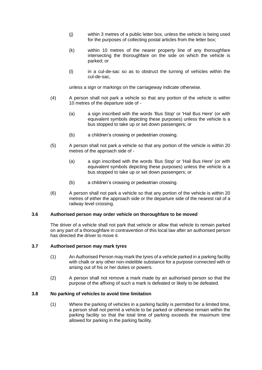- (j) within 3 metres of a public letter box, unless the vehicle is being used for the purposes of collecting postal articles from the letter box;
- (k) within 10 metres of the nearer property line of any thoroughfare intersecting the thoroughfare on the side on which the vehicle is parked; or
- (l) in a cul-de-sac so as to obstruct the turning of vehicles within the cul-de-sac,

unless a sign or markings on the carriageway indicate otherwise.

- (4) A person shall not park a vehicle so that any portion of the vehicle is within 10 metres of the departure side of -
	- (a) a sign inscribed with the words 'Bus Stop' or 'Hail Bus Here' (or with equivalent symbols depicting these purposes) unless the vehicle is a bus stopped to take up or set down passengers; or
	- (b) a children's crossing or pedestrian crossing.
- (5) A person shall not park a vehicle so that any portion of the vehicle is within 20 metres of the approach side of -
	- (a) a sign inscribed with the words 'Bus Stop' or 'Hail Bus Here' (or with equivalent symbols depicting these purposes) unless the vehicle is a bus stopped to take up or set down passengers; or
	- (b) a children's crossing or pedestrian crossing.
- (6) A person shall not park a vehicle so that any portion of the vehicle is within 20 metres of either the approach side or the departure side of the nearest rail of a railway level crossing.

#### <span id="page-15-0"></span>**3.6 Authorised person may order vehicle on thoroughfare to be moved**

The driver of a vehicle shall not park that vehicle or allow that vehicle to remain parked on any part of a thoroughfare in contravention of this local law after an authorised person has directed the driver to move it.

#### <span id="page-15-1"></span>**3.7 Authorised person may mark tyres**

- (1) An Authorised Person may mark the tyres of a vehicle parked in a parking facility with chalk or any other non-indelible substance for a purpose connected with or arising out of his or her duties or powers.
- (2) A person shall not remove a mark made by an authorised person so that the purpose of the affixing of such a mark is defeated or likely to be defeated.

#### **3.8 No parking of vehicles to avoid time limitation**

(1) Where the parking of vehicles in a parking facility is permitted for a limited time, a person shall not permit a vehicle to be parked or otherwise remain within the parking facility so that the total time of parking exceeds the maximum time allowed for parking in the parking facility.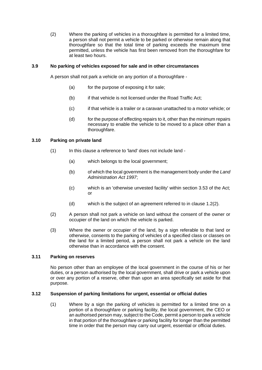(2) Where the parking of vehicles in a thoroughfare is permitted for a limited time, a person shall not permit a vehicle to be parked or otherwise remain along that thoroughfare so that the total time of parking exceeds the maximum time permitted, unless the vehicle has first been removed from the thoroughfare for at least two hours.

#### <span id="page-16-0"></span>**3.9 No parking of vehicles exposed for sale and in other circumstances**

A person shall not park a vehicle on any portion of a thoroughfare -

- (a) for the purpose of exposing it for sale;
- (b) if that vehicle is not licensed under the Road Traffic Act;
- (c) if that vehicle is a trailer or a caravan unattached to a motor vehicle; or
- (d) for the purpose of effecting repairs to it, other than the minimum repairs necessary to enable the vehicle to be moved to a place other than a thoroughfare.

#### <span id="page-16-1"></span>**3.10 Parking on private land**

- (1) In this clause a reference to 'land' does not include land
	- (a) which belongs to the local government;
	- (b) of which the local government is the management body under the *Land Administration Act 1997*;
	- (c) which is an 'otherwise unvested facility' within section 3.53 of the Act; or
	- (d) which is the subject of an agreement referred to in clause 1.2(2).
- (2) A person shall not park a vehicle on land without the consent of the owner or occupier of the land on which the vehicle is parked.
- (3) Where the owner or occupier of the land, by a sign referable to that land or otherwise, consents to the parking of vehicles of a specified class or classes on the land for a limited period, a person shall not park a vehicle on the land otherwise than in accordance with the consent.

#### <span id="page-16-2"></span>**3.11 Parking on reserves**

No person other than an employee of the local government in the course of his or her duties, or a person authorised by the local government, shall drive or park a vehicle upon or over any portion of a reserve, other than upon an area specifically set aside for that purpose.

#### <span id="page-16-3"></span>**3.12 Suspension of parking limitations for urgent, essential or official duties**

(1) Where by a sign the parking of vehicles is permitted for a limited time on a portion of a thoroughfare or parking facility, the local government, the CEO or an authorised person may, subject to the Code, permit a person to park a vehicle in that portion of the thoroughfare or parking facility for longer than the permitted time in order that the person may carry out urgent, essential or official duties.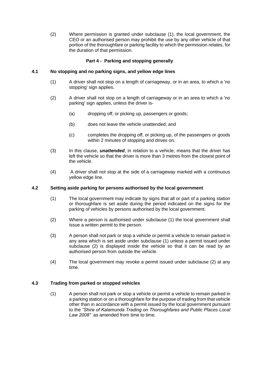(2) Where permission is granted under subclause (1), the local government, the CEO or an authorised person may prohibit the use by any other vehicle of that portion of the thoroughfare or parking facility to which the permission relates, for the duration of that permission.

#### **Part 4 - Parking and stopping generally**

#### <span id="page-17-1"></span><span id="page-17-0"></span>**4.1 No stopping and no parking signs, and yellow edge lines**

- (1) A driver shall not stop on a length of carriageway, or in an area, to which a 'no stopping' sign applies.
- (2) A driver shall not stop on a length of carriageway or in an area to which a 'no parking' sign applies, unless the driver is-
	- (a) dropping off, or picking up, passengers or goods;
	- (b) does not leave the vehicle unattended; and
	- (c) completes the dropping off, or picking up, of the passengers or goods within 2 minutes of stopping and drives on.
- (3) In this clause, *unattended*, in relation to a vehicle, means that the driver has left the vehicle so that the driver is more than 3 metres from the closest point of the vehicle.
- (4) A driver shall not stop at the side of a carriageway marked with a continuous yellow edge line.

#### <span id="page-17-2"></span>**4.2 Setting aside parking for persons authorised by the local government**

- (1) The local government may indicate by signs that all or part of a parking station or thoroughfare is set aside during the period indicated on the signs for the parking of vehicles by persons authorised by the local government.
- (2) Where a person is authorised under subclause (1) the local government shall issue a written permit to the person.
- (3) A person shall not park or stop a vehicle or permit a vehicle to remain parked in any area which is set aside under subclause (1) unless a permit issued under subclause (2) is displayed inside the vehicle so that it can be read by an authorised person from outside the vehicle.
- (4) The local government may revoke a permit issued under subclause (2) at any time.

#### <span id="page-17-3"></span>**4.3 Trading from parked or stopped vehicles**

(1) A person shall not park or stop a vehicle or permit a vehicle to remain parked in a parking station or on a thoroughfare for the purpose of trading from that vehicle other than in accordance with a permit issued by the local government pursuant to the *"Shire of Kalamunda Trading on Thoroughfares and Public Places Local Law 2008"* as amended from time to time.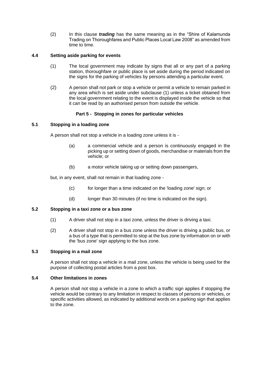(2) In this clause *trading* has the same meaning as in the "Shire of Kalamunda Trading on Thoroughfares and Public Places Local Law 2008" as amended from time to time.

#### <span id="page-18-0"></span>**4.4 Setting aside parking for events**

- (1) The local government may indicate by signs that all or any part of a parking station, thoroughfare or public place is set aside during the period indicated on the signs for the parking of vehicles by persons attending a particular event.
- (2) A person shall not park or stop a vehicle or permit a vehicle to remain parked in any area which is set aside under subclause (1) unless a ticket obtained from the local government relating to the event is displayed inside the vehicle so that it can be read by an authorised person from outside the vehicle.

#### **Part 5 - Stopping in zones for particular vehicles**

#### <span id="page-18-2"></span><span id="page-18-1"></span>**5.1 Stopping in a loading zone**

A person shall not stop a vehicle in a loading zone unless it is -

- (a) a commercial vehicle and a person is continuously engaged in the picking up or setting down of goods, merchandise or materials from the vehicle; or
- (b) a motor vehicle taking up or setting down passengers,

but, in any event, shall not remain in that loading zone -

- (c) for longer than a time indicated on the 'loading zone' sign; or
- (d) longer than 30 minutes (if no time is indicated on the sign).

#### <span id="page-18-3"></span>**5.2 Stopping in a taxi zone or a bus zone**

- (1) A driver shall not stop in a taxi zone, unless the driver is driving a taxi.
- (2) A driver shall not stop in a bus zone unless the driver is driving a public bus, or a bus of a type that is permitted to stop at the bus zone by information on or with the 'bus zone' sign applying to the bus zone.

#### <span id="page-18-4"></span>**5.3 Stopping in a mail zone**

A person shall not stop a vehicle in a mail zone, unless the vehicle is being used for the purpose of collecting postal articles from a post box.

#### <span id="page-18-5"></span>**5.4 Other limitations in zones**

A person shall not stop a vehicle in a zone to which a traffic sign applies if stopping the vehicle would be contrary to any limitation in respect to classes of persons or vehicles, or specific activities allowed, as indicated by additional words on a parking sign that applies to the zone.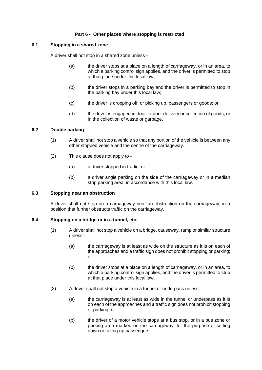#### **Part 6 - Other places where stopping is restricted**

#### <span id="page-19-1"></span><span id="page-19-0"></span>**6.1 Stopping in a shared zone**

A driver shall not stop in a shared zone unless -

- (a) the driver stops at a place on a length of carriageway, or in an area, to which a parking control sign applies, and the driver is permitted to stop at that place under this local law;
- (b) the driver stops in a parking bay and the driver is permitted to stop in the parking bay under this local law;
- (c) the driver is dropping off, or picking up, passengers or goods; or
- (d) the driver is engaged in door-to-door delivery or collection of goods, or in the collection of waste or garbage.

#### <span id="page-19-2"></span>**6.2 Double parking**

- (1) A driver shall not stop a vehicle so that any portion of the vehicle is between any other stopped vehicle and the centre of the carriageway.
- (2) This clause does not apply to
	- (a) a driver stopped in traffic; or
	- (b) a driver angle parking on the side of the carriageway or in a median strip parking area, in accordance with this local law.

#### <span id="page-19-3"></span>**6.3 Stopping near an obstruction**

A driver shall not stop on a carriageway near an obstruction on the carriageway, in a position that further obstructs traffic on the carriageway.

#### <span id="page-19-4"></span>**6.4 Stopping on a bridge or in a tunnel, etc.**

- (1) A driver shall not stop a vehicle on a bridge, causeway, ramp or similar structure unless -
	- (a) the carriageway is at least as wide on the structure as it is on each of the approaches and a traffic sign does not prohibit stopping or parking; or
	- (b) the driver stops at a place on a length of carriageway, or in an area, to which a parking control sign applies, and the driver is permitted to stop at that place under this local law.
- (2) A driver shall not stop a vehicle in a tunnel or underpass unless
	- (a) the carriageway is at least as wide in the tunnel or underpass as it is on each of the approaches and a traffic sign does not prohibit stopping or parking; or
	- (b) the driver of a motor vehicle stops at a bus stop, or in a bus zone or parking area marked on the carriageway, for the purpose of setting down or taking up passengers.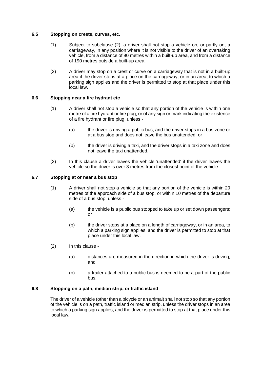#### <span id="page-20-0"></span>**6.5 Stopping on crests, curves, etc.**

- (1) Subject to subclause (2), a driver shall not stop a vehicle on, or partly on, a carriageway, in any position where it is not visible to the driver of an overtaking vehicle, from a distance of 90 metres within a built-up area, and from a distance of 190 metres outside a built-up area.
- (2) A driver may stop on a crest or curve on a carriageway that is not in a built-up area if the driver stops at a place on the carriageway, or in an area, to which a parking sign applies and the driver is permitted to stop at that place under this local law.

#### <span id="page-20-1"></span>**6.6 Stopping near a fire hydrant etc**

- (1) A driver shall not stop a vehicle so that any portion of the vehicle is within one metre of a fire hydrant or fire plug, or of any sign or mark indicating the existence of a fire hydrant or fire plug, unless -
	- (a) the driver is driving a public bus, and the driver stops in a bus zone or at a bus stop and does not leave the bus unattended; or
	- (b) the driver is driving a taxi, and the driver stops in a taxi zone and does not leave the taxi unattended.
- (2) In this clause a driver leaves the vehicle 'unattended' if the driver leaves the vehicle so the driver is over 3 metres from the closest point of the vehicle.

#### <span id="page-20-2"></span>**6.7 Stopping at or near a bus stop**

- (1) A driver shall not stop a vehicle so that any portion of the vehicle is within 20 metres of the approach side of a bus stop, or within 10 metres of the departure side of a bus stop, unless -
	- (a) the vehicle is a public bus stopped to take up or set down passengers; or
	- (b) the driver stops at a place on a length of carriageway, or in an area, to which a parking sign applies, and the driver is permitted to stop at that place under this local law.
- (2) In this clause
	- (a) distances are measured in the direction in which the driver is driving; and
	- (b) a trailer attached to a public bus is deemed to be a part of the public bus.

#### <span id="page-20-3"></span>**6.8 Stopping on a path, median strip, or traffic island**

The driver of a vehicle (other than a bicycle or an animal) shall not stop so that any portion of the vehicle is on a path, traffic island or median strip, unless the driver stops in an area to which a parking sign applies, and the driver is permitted to stop at that place under this local law.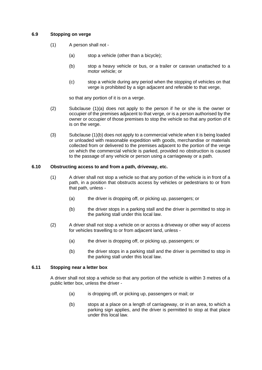#### <span id="page-21-0"></span>**6.9 Stopping on verge**

- (1) A person shall not
	- (a) stop a vehicle (other than a bicycle);
	- (b) stop a heavy vehicle or bus, or a trailer or caravan unattached to a motor vehicle; or
	- (c) stop a vehicle during any period when the stopping of vehicles on that verge is prohibited by a sign adjacent and referable to that verge,

so that any portion of it is on a verge.

- (2) Subclause (1)(a) does not apply to the person if he or she is the owner or occupier of the premises adjacent to that verge, or is a person authorised by the owner or occupier of those premises to stop the vehicle so that any portion of it is on the verge.
- (3) Subclause (1)(b) does not apply to a commercial vehicle when it is being loaded or unloaded with reasonable expedition with goods, merchandise or materials collected from or delivered to the premises adjacent to the portion of the verge on which the commercial vehicle is parked, provided no obstruction is caused to the passage of any vehicle or person using a carriageway or a path.

#### <span id="page-21-1"></span>**6.10 Obstructing access to and from a path, driveway, etc.**

- (1) A driver shall not stop a vehicle so that any portion of the vehicle is in front of a path, in a position that obstructs access by vehicles or pedestrians to or from that path, unless -
	- (a) the driver is dropping off, or picking up, passengers; or
	- (b) the driver stops in a parking stall and the driver is permitted to stop in the parking stall under this local law.
- (2) A driver shall not stop a vehicle on or across a driveway or other way of access for vehicles travelling to or from adjacent land, unless -
	- (a) the driver is dropping off, or picking up, passengers; or
	- (b) the driver stops in a parking stall and the driver is permitted to stop in the parking stall under this local law.

#### <span id="page-21-2"></span>**6.11 Stopping near a letter box**

A driver shall not stop a vehicle so that any portion of the vehicle is within 3 metres of a public letter box, unless the driver -

- (a) is dropping off, or picking up, passengers or mail; or
- (b) stops at a place on a length of carriageway, or in an area, to which a parking sign applies, and the driver is permitted to stop at that place under this local law.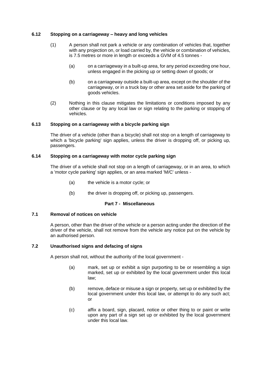#### <span id="page-22-0"></span>**6.12 Stopping on a carriageway – heavy and long vehicles**

- (1) A person shall not park a vehicle or any combination of vehicles that, together with any projection on, or load carried by, the vehicle or combination of vehicles, is 7.5 metres or more in length or exceeds a GVM of 4.5 tonnes -
	- (a) on a carriageway in a built-up area, for any period exceeding one hour, unless engaged in the picking up or setting down of goods; or
	- (b) on a carriageway outside a built-up area, except on the shoulder of the carriageway, or in a truck bay or other area set aside for the parking of goods vehicles.
- (2) Nothing in this clause mitigates the limitations or conditions imposed by any other clause or by any local law or sign relating to the parking or stopping of vehicles.

#### <span id="page-22-1"></span>**6.13 Stopping on a carriageway with a bicycle parking sign**

The driver of a vehicle (other than a bicycle) shall not stop on a length of carriageway to which a 'bicycle parking' sign applies, unless the driver is dropping off, or picking up, passengers.

#### <span id="page-22-2"></span>**6.14 Stopping on a carriageway with motor cycle parking sign**

The driver of a vehicle shall not stop on a length of carriageway, or in an area, to which a 'motor cycle parking' sign applies, or an area marked 'M/C' unless -

- (a) the vehicle is a motor cycle; or
- (b) the driver is dropping off, or picking up, passengers.

#### **Part 7 - Miscellaneous**

#### <span id="page-22-4"></span><span id="page-22-3"></span>**7.1 Removal of notices on vehicle**

A person, other than the driver of the vehicle or a person acting under the direction of the driver of the vehicle, shall not remove from the vehicle any notice put on the vehicle by an authorised person.

#### <span id="page-22-5"></span>**7.2 Unauthorised signs and defacing of signs**

A person shall not, without the authority of the local government -

- (a) mark, set up or exhibit a sign purporting to be or resembling a sign marked, set up or exhibited by the local government under this local law;
- (b) remove, deface or misuse a sign or property, set up or exhibited by the local government under this local law, or attempt to do any such act; or
- (c) affix a board, sign, placard, notice or other thing to or paint or write upon any part of a sign set up or exhibited by the local government under this local law.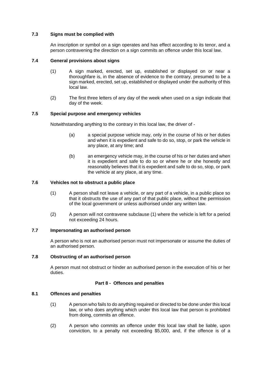#### <span id="page-23-0"></span>**7.3 Signs must be complied with**

An inscription or symbol on a sign operates and has effect according to its tenor, and a person contravening the direction on a sign commits an offence under this local law.

#### <span id="page-23-1"></span>**7.4 General provisions about signs**

- (1) A sign marked, erected, set up, established or displayed on or near a thoroughfare is, in the absence of evidence to the contrary, presumed to be a sign marked, erected, set up, established or displayed under the authority of this local law.
- (2) The first three letters of any day of the week when used on a sign indicate that day of the week.

#### <span id="page-23-2"></span>**7.5 Special purpose and emergency vehicles**

Notwithstanding anything to the contrary in this local law, the driver of -

- (a) a special purpose vehicle may, only in the course of his or her duties and when it is expedient and safe to do so, stop, or park the vehicle in any place, at any time; and
- (b) an emergency vehicle may, in the course of his or her duties and when it is expedient and safe to do so or where he or she honestly and reasonably believes that it is expedient and safe to do so, stop, or park the vehicle at any place, at any time.

#### <span id="page-23-3"></span>**7.6 Vehicles not to obstruct a public place**

- (1) A person shall not leave a vehicle, or any part of a vehicle, in a public place so that it obstructs the use of any part of that public place, without the permission of the local government or unless authorised under any written law.
- (2) A person will not contravene subclause (1) where the vehicle is left for a period not exceeding 24 hours.

#### <span id="page-23-4"></span>**7.7 Impersonating an authorised person**

A person who is not an authorised person must not impersonate or assume the duties of an authorised person.

#### <span id="page-23-5"></span>**7.8 Obstructing of an authorised person**

A person must not obstruct or hinder an authorised person in the execution of his or her duties.

#### **Part 8 - Offences and penalties**

#### <span id="page-23-7"></span><span id="page-23-6"></span>**8.1 Offences and penalties**

- (1) A person who fails to do anything required or directed to be done under this local law, or who does anything which under this local law that person is prohibited from doing, commits an offence.
- (2) A person who commits an offence under this local law shall be liable, upon conviction, to a penalty not exceeding \$5,000, and, if the offence is of a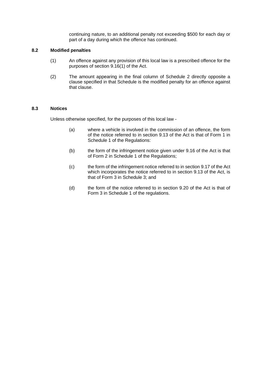continuing nature, to an additional penalty not exceeding \$500 for each day or part of a day during which the offence has continued.

#### <span id="page-24-0"></span>**8.2 Modified penalties**

- (1) An offence against any provision of this local law is a prescribed offence for the purposes of section 9.16(1) of the Act.
- (2) The amount appearing in the final column of Schedule 2 directly opposite a clause specified in that Schedule is the modified penalty for an offence against that clause.

#### <span id="page-24-1"></span>**8.3 Notices**

Unless otherwise specified, for the purposes of this local law -

- (a) where a vehicle is involved in the commission of an offence, the form of the notice referred to in section 9.13 of the Act is that of Form 1 in Schedule 1 of the Regulations:
- (b) the form of the infringement notice given under 9.16 of the Act is that of Form 2 in Schedule 1 of the Regulations;
- (c) the form of the infringement notice referred to in section 9.17 of the Act which incorporates the notice referred to in section 9.13 of the Act, is that of Form 3 in Schedule 3; and
- (d) the form of the notice referred to in section 9.20 of the Act is that of Form 3 in Schedule 1 of the regulations.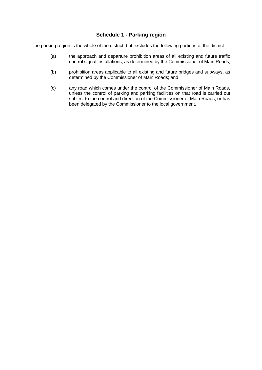### **Schedule 1 - Parking region**

<span id="page-25-0"></span>The parking region is the whole of the district, but excludes the following portions of the district -

- (a) the approach and departure prohibition areas of all existing and future traffic control signal installations, as determined by the Commissioner of Main Roads;
- (b) prohibition areas applicable to all existing and future bridges and subways, as determined by the Commissioner of Main Roads; and
- (c) any road which comes under the control of the Commissioner of Main Roads, unless the control of parking and parking facilities on that road is carried out subject to the control and direction of the Commissioner of Main Roads, or has been delegated by the Commissioner to the local government.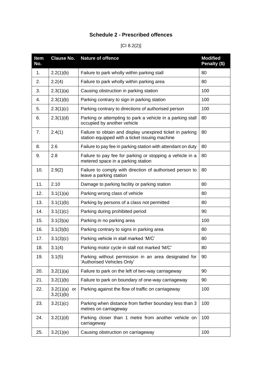### **Schedule 2 - Prescribed offences**

### [CI 8.2(2)]

<span id="page-26-0"></span>

| <b>Item</b><br>No. | <b>Clause No.</b>            | <b>Nature of offence</b>                                                                                    | <b>Modified</b><br>Penalty (\$) |
|--------------------|------------------------------|-------------------------------------------------------------------------------------------------------------|---------------------------------|
| 1.                 | 2.2(1)(b)                    | Failure to park wholly within parking stall                                                                 | 80                              |
| 2.                 | 2.2(4)                       | Failure to park wholly within parking area                                                                  | 80                              |
| 3.                 | 2.3(1)(a)                    | Causing obstruction in parking station                                                                      | 100                             |
| 4.                 | 2.3(1)(b)                    | Parking contrary to sign in parking station                                                                 | 100                             |
| 5.                 | 2.3(1)(c)                    | Parking contrary to directions of authorised person                                                         | 100                             |
| 6.                 | 2.3(1)(d)                    | Parking or attempting to park a vehicle in a parking stall<br>occupied by another vehicle                   | 80                              |
| 7.                 | 2.4(1)                       | Failure to obtain and display unexpired ticket in parking<br>station equipped with a ticket issuing machine | 80                              |
| 8.                 | 2.6                          | Failure to pay fee in parking station with attendant on duty                                                | 80                              |
| 9.                 | 2.8                          | Failure to pay fee for parking or stopping a vehicle in a<br>metered space in a parking station             | 80                              |
| 10.                | 2.9(2)                       | Failure to comply with direction of authorised person to<br>leave a parking station                         | 80                              |
| 11.                | 2.10                         | Damage to parking facility or parking station                                                               | 80                              |
| 12.                | 3.1(1)(a)                    | Parking wrong class of vehicle                                                                              | 80                              |
| 13.                | 3.1(1)(b)                    | Parking by persons of a class not permitted                                                                 | 80                              |
| 14.                | 3.1(1)(c)                    | Parking during prohibited period                                                                            | 90                              |
| 15.                | 3.1(3)(a)                    | Parking in no parking area                                                                                  | 100                             |
| 16.                | 3.1(3)(b)                    | Parking contrary to signs in parking area                                                                   | 80                              |
| 17.                | 3.1(3)(c)                    | Parking vehicle in stall marked 'M/C'                                                                       | 80                              |
| 18.                | 3.1(4)                       | Parking motor cycle in stall not marked 'M/C'                                                               | 80                              |
| 19.                | 3.1(5)                       | Parking without permission in an area designated for<br>'Authorised Vehicles Only'                          | 90                              |
| 20.                | 3.2(1)(a)                    | Failure to park on the left of two-way carriageway                                                          | 90                              |
| 21.                | 3.2(1)(b)                    | Failure to park on boundary of one-way carriageway                                                          | 90                              |
| 22.                | 3.2(1)(a)<br>or<br>3.2(1)(b) | Parking against the flow of traffic on carriageway                                                          | 100                             |
| 23.                | 3.2(1)(c)                    | Parking when distance from farther boundary less than 3<br>metres on carriageway                            | 100                             |
| 24.                | 3.2(1)(d)                    | Parking closer than 1 metre from another vehicle on<br>carriageway                                          | 100                             |
| 25.                | 3.2(1)(e)                    | Causing obstruction on carriageway                                                                          | 100                             |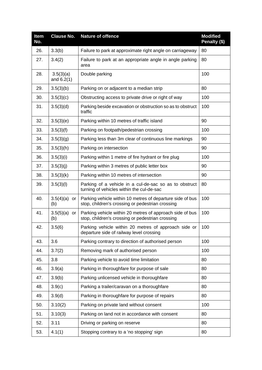| <b>Item</b><br>No. | <b>Clause No.</b>         | Nature of offence                                                                                             | <b>Modified</b><br>Penalty (\$) |
|--------------------|---------------------------|---------------------------------------------------------------------------------------------------------------|---------------------------------|
| 26.                | 3.3(b)                    | Failure to park at approximate right angle on carriageway                                                     | 80                              |
| 27.                | 3.4(2)                    | Failure to park at an appropriate angle in angle parking<br>area                                              | 80                              |
| 28.                | 3.5(3)(a)<br>and $6.2(1)$ | Double parking                                                                                                | 100                             |
| 29.                | 3.5(3)(b)                 | Parking on or adjacent to a median strip                                                                      | 80                              |
| 30.                | 3.5(3)(c)                 | Obstructing access to private drive or right of way                                                           | 100                             |
| 31.                | 3.5(3)(d)                 | Parking beside excavation or obstruction so as to obstruct<br>traffic                                         | 100                             |
| 32.                | 3.5(3)(e)                 | Parking within 10 metres of traffic island                                                                    | 90                              |
| 33.                | 3.5(3)(f)                 | Parking on footpath/pedestrian crossing                                                                       | 100                             |
| 34.                | 3.5(3)(g)                 | Parking less than 3m clear of continuous line markings                                                        | 90                              |
| 35.                | 3.5(3)(h)                 | Parking on intersection                                                                                       | 90                              |
| 36.                | 3.5(3)(i)                 | Parking within 1 metre of fire hydrant or fire plug                                                           | 100                             |
| 37.                | 3.5(3)(j)                 | Parking within 3 metres of public letter box                                                                  | 90                              |
| 38.                | 3.5(3)(k)                 | Parking within 10 metres of intersection                                                                      | 90                              |
| 39.                | 3.5(3)(I)                 | Parking of a vehicle in a cul-de-sac so as to obstruct<br>turning of vehicles within the cul-de-sac           | 80                              |
| 40.                | 3.5(4)(a)<br>or<br>(b)    | Parking vehicle within 10 metres of departure side of bus<br>stop, children's crossing or pedestrian crossing | 100                             |
| 41.                | 3.5(5)(a)<br>or<br>(b)    | Parking vehicle within 20 metres of approach side of bus<br>stop, children's crossing or pedestrian crossing  | 100                             |
| 42.                | 3.5(6)                    | Parking vehicle within 20 metres of approach side or<br>departure side of railway level crossing              | 100                             |
| 43.                | 3.6                       | Parking contrary to direction of authorised person                                                            | 100                             |
| 44.                | 3.7(2)                    | Removing mark of authorised person                                                                            | 100                             |
| 45.                | 3.8                       | Parking vehicle to avoid time limitation                                                                      | 80                              |
| 46.                | 3.9(a)                    | Parking in thoroughfare for purpose of sale                                                                   | 80                              |
| 47.                | 3.9(b)                    | Parking unlicensed vehicle in thoroughfare                                                                    | 80                              |
| 48.                | 3.9(c)                    | Parking a trailer/caravan on a thoroughfare                                                                   | 80                              |
| 49.                | 3.9(d)                    | Parking in thoroughfare for purpose of repairs                                                                | 80                              |
| 50.                | 3.10(2)                   | Parking on private land without consent                                                                       | 100                             |
| 51.                | 3.10(3)                   | Parking on land not in accordance with consent                                                                | 80                              |
| 52.                | 3.11                      | Driving or parking on reserve                                                                                 | 80                              |
| 53.                | 4.1(1)                    | Stopping contrary to a 'no stopping' sign                                                                     | 80                              |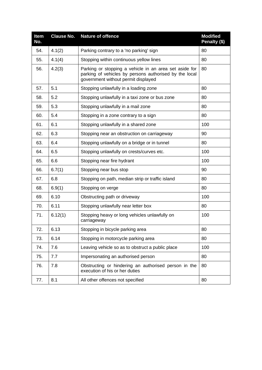| Item<br>No. | <b>Clause No.</b> | <b>Nature of offence</b>                                                                                                                                | <b>Modified</b><br>Penalty (\$) |
|-------------|-------------------|---------------------------------------------------------------------------------------------------------------------------------------------------------|---------------------------------|
| 54.         | 4.1(2)            | Parking contrary to a 'no parking' sign                                                                                                                 | 80                              |
| 55.         | 4.1(4)            | Stopping within continuous yellow lines                                                                                                                 | 80                              |
| 56.         | 4.2(3)            | Parking or stopping a vehicle in an area set aside for<br>parking of vehicles by persons authorised by the local<br>government without permit displayed | 80                              |
| 57.         | 5.1               | Stopping unlawfully in a loading zone                                                                                                                   | 80                              |
| 58.         | 5.2               | Stopping unlawfully in a taxi zone or bus zone                                                                                                          | 80                              |
| 59.         | 5.3               | Stopping unlawfully in a mail zone                                                                                                                      | 80                              |
| 60.         | 5.4               | Stopping in a zone contrary to a sign                                                                                                                   | 80                              |
| 61.         | 6.1               | Stopping unlawfully in a shared zone                                                                                                                    | 100                             |
| 62.         | 6.3               | Stopping near an obstruction on carriageway                                                                                                             | 90                              |
| 63.         | 6.4               | Stopping unlawfully on a bridge or in tunnel                                                                                                            | 80                              |
| 64.         | 6.5               | Stopping unlawfully on crests/curves etc.                                                                                                               | 100                             |
| 65.         | 6.6               | Stopping near fire hydrant                                                                                                                              | 100                             |
| 66.         | 6.7(1)            | Stopping near bus stop                                                                                                                                  | 90                              |
| 67.         | 6.8               | Stopping on path, median strip or traffic island                                                                                                        | 80                              |
| 68.         | 6.9(1)            | Stopping on verge                                                                                                                                       | 80                              |
| 69.         | 6.10              | Obstructing path or driveway                                                                                                                            | 100                             |
| 70.         | 6.11              | Stopping unlawfully near letter box                                                                                                                     | 80                              |
| 71.         | 6.12(1)           | Stopping heavy or long vehicles unlawfully on<br>carriageway                                                                                            | 100                             |
| 72.         | 6.13              | Stopping in bicycle parking area                                                                                                                        | 80                              |
| 73.         | 6.14              | Stopping in motorcycle parking area                                                                                                                     | 80                              |
| 74.         | 7.6               | Leaving vehicle so as to obstruct a public place                                                                                                        | 100                             |
| 75.         | 7.7               | Impersonating an authorised person                                                                                                                      | 80                              |
| 76.         | 7.8               | Obstructing or hindering an authorised person in the<br>execution of his or her duties                                                                  | 80                              |
| 77.         | 8.1               | All other offences not specified                                                                                                                        | 80                              |